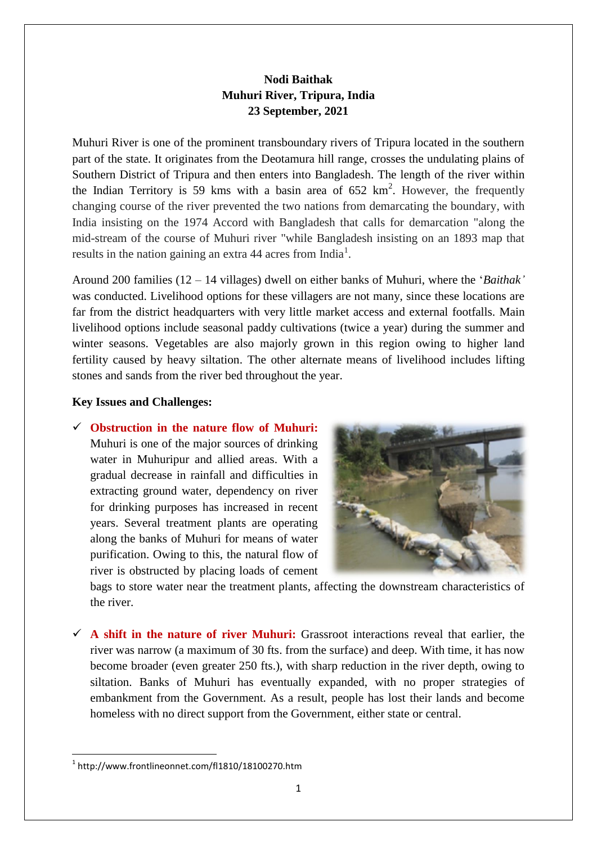## **Nodi Baithak Muhuri River, Tripura, India 23 September, 2021**

Muhuri River is one of the prominent transboundary rivers of Tripura located in the southern part of the state. It originates from the Deotamura hill range, crosses the undulating plains of Southern District of Tripura and then enters into Bangladesh. The length of the river within the Indian Territory is 59 kms with a basin area of  $652 \text{ km}^2$ . However, the frequently changing course of the river prevented the two nations from demarcating the boundary, with India insisting on the 1974 Accord with Bangladesh that calls for demarcation "along the mid-stream of the course of Muhuri river "while Bangladesh insisting on an 1893 map that results in the nation gaining an extra 44 acres from India<sup>1</sup>.

Around 200 families (12 – 14 villages) dwell on either banks of Muhuri, where the '*Baithak'* was conducted. Livelihood options for these villagers are not many, since these locations are far from the district headquarters with very little market access and external footfalls. Main livelihood options include seasonal paddy cultivations (twice a year) during the summer and winter seasons. Vegetables are also majorly grown in this region owing to higher land fertility caused by heavy siltation. The other alternate means of livelihood includes lifting stones and sands from the river bed throughout the year.

## **Key Issues and Challenges:**

 **Obstruction in the nature flow of Muhuri:** Muhuri is one of the major sources of drinking water in Muhuripur and allied areas. With a gradual decrease in rainfall and difficulties in extracting ground water, dependency on river for drinking purposes has increased in recent years. Several treatment plants are operating along the banks of Muhuri for means of water purification. Owing to this, the natural flow of river is obstructed by placing loads of cement



bags to store water near the treatment plants, affecting the downstream characteristics of the river.

 $\checkmark$  A shift in the nature of river Muhuri: Grassroot interactions reveal that earlier, the river was narrow (a maximum of 30 fts. from the surface) and deep. With time, it has now become broader (even greater 250 fts.), with sharp reduction in the river depth, owing to siltation. Banks of Muhuri has eventually expanded, with no proper strategies of embankment from the Government. As a result, people has lost their lands and become homeless with no direct support from the Government, either state or central.

**<sup>.</sup>** 1 http://www.frontlineonnet.com/fl1810/18100270.htm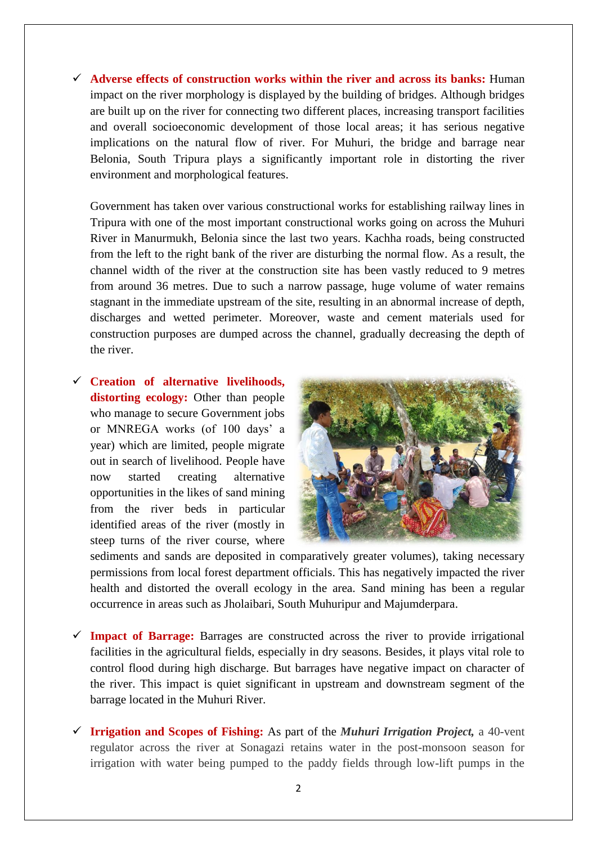**Adverse effects of construction works within the river and across its banks:** Human impact on the river morphology is displayed by the building of bridges. Although bridges are built up on the river for connecting two different places, increasing transport facilities and overall socioeconomic development of those local areas; it has serious negative implications on the natural flow of river. For Muhuri, the bridge and barrage near Belonia, South Tripura plays a significantly important role in distorting the river environment and morphological features.

Government has taken over various constructional works for establishing railway lines in Tripura with one of the most important constructional works going on across the Muhuri River in Manurmukh, Belonia since the last two years. Kachha roads, being constructed from the left to the right bank of the river are disturbing the normal flow. As a result, the channel width of the river at the construction site has been vastly reduced to 9 metres from around 36 metres. Due to such a narrow passage, huge volume of water remains stagnant in the immediate upstream of the site, resulting in an abnormal increase of depth, discharges and wetted perimeter. Moreover, waste and cement materials used for construction purposes are dumped across the channel, gradually decreasing the depth of the river.

 **Creation of alternative livelihoods, distorting ecology:** Other than people who manage to secure Government jobs or MNREGA works (of 100 days' a year) which are limited, people migrate out in search of livelihood. People have now started creating alternative opportunities in the likes of sand mining from the river beds in particular identified areas of the river (mostly in steep turns of the river course, where



sediments and sands are deposited in comparatively greater volumes), taking necessary permissions from local forest department officials. This has negatively impacted the river health and distorted the overall ecology in the area. Sand mining has been a regular occurrence in areas such as Jholaibari, South Muhuripur and Majumderpara.

- **Impact of Barrage:** Barrages are constructed across the river to provide irrigational facilities in the agricultural fields, especially in dry seasons. Besides, it plays vital role to control flood during high discharge. But barrages have negative impact on character of the river. This impact is quiet significant in upstream and downstream segment of the barrage located in the Muhuri River.
- **Irrigation and Scopes of Fishing:** As part of the *Muhuri Irrigation Project,* a 40-vent regulator across the river at Sonagazi retains water in the post-monsoon season for irrigation with water being pumped to the paddy fields through low-lift pumps in the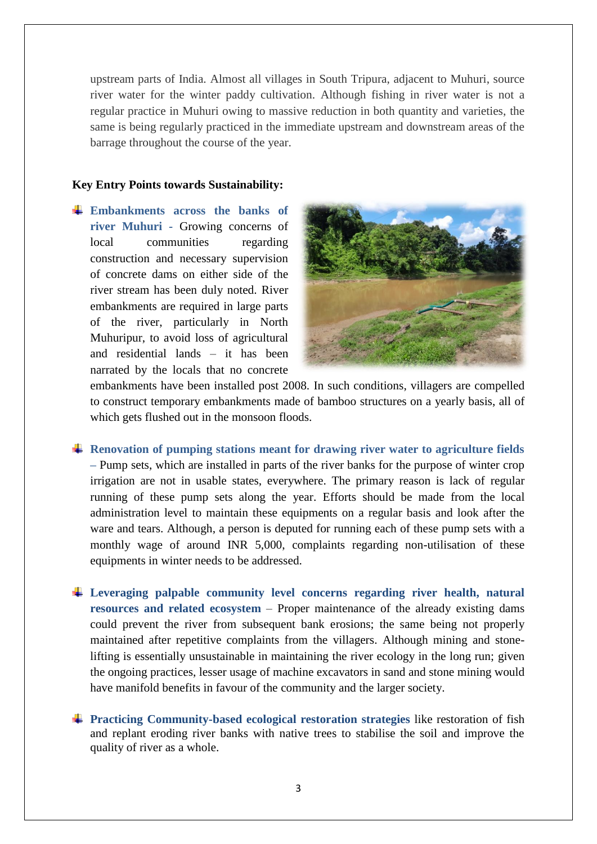upstream parts of India. Almost all villages in South Tripura, adjacent to Muhuri, source river water for the winter paddy cultivation. Although fishing in river water is not a regular practice in Muhuri owing to massive reduction in both quantity and varieties, the same is being regularly practiced in the immediate upstream and downstream areas of the barrage throughout the course of the year.

## **Key Entry Points towards Sustainability:**

**Embankments across the banks of river Muhuri -** Growing concerns of local communities regarding construction and necessary supervision of concrete dams on either side of the river stream has been duly noted. River embankments are required in large parts of the river, particularly in North Muhuripur, to avoid loss of agricultural and residential lands – it has been narrated by the locals that no concrete



embankments have been installed post 2008. In such conditions, villagers are compelled to construct temporary embankments made of bamboo structures on a yearly basis, all of which gets flushed out in the monsoon floods.

- **Renovation of pumping stations meant for drawing river water to agriculture fields –** Pump sets, which are installed in parts of the river banks for the purpose of winter crop irrigation are not in usable states, everywhere. The primary reason is lack of regular running of these pump sets along the year. Efforts should be made from the local administration level to maintain these equipments on a regular basis and look after the ware and tears. Although, a person is deputed for running each of these pump sets with a monthly wage of around INR 5,000, complaints regarding non-utilisation of these equipments in winter needs to be addressed.
- **Leveraging palpable community level concerns regarding river health, natural resources and related ecosystem** – Proper maintenance of the already existing dams could prevent the river from subsequent bank erosions; the same being not properly maintained after repetitive complaints from the villagers. Although mining and stonelifting is essentially unsustainable in maintaining the river ecology in the long run; given the ongoing practices, lesser usage of machine excavators in sand and stone mining would have manifold benefits in favour of the community and the larger society.
- **Practicing Community-based ecological restoration strategies** like restoration of fish and replant eroding river banks with native trees to stabilise the soil and improve the quality of river as a whole.